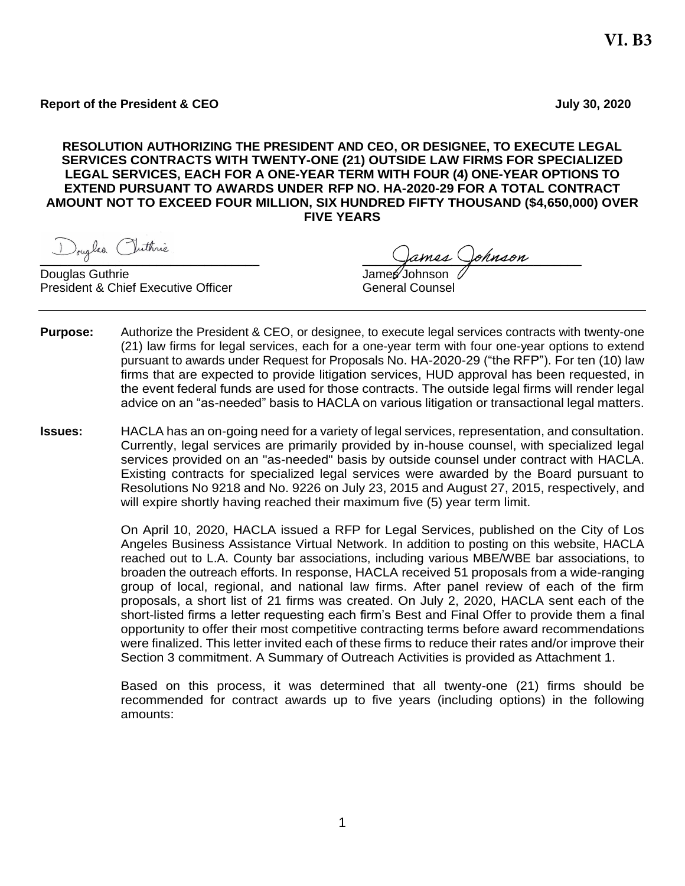**RESOLUTION AUTHORIZING THE PRESIDENT AND CEO, OR DESIGNEE, TO EXECUTE LEGAL SERVICES CONTRACTS WITH TWENTY-ONE (21) OUTSIDE LAW FIRMS FOR SPECIALIZED LEGAL SERVICES, EACH FOR A ONE-YEAR TERM WITH FOUR (4) ONE-YEAR OPTIONS TO EXTEND PURSUANT TO AWARDS UNDER RFP NO. HA-2020-29 FOR A TOTAL CONTRACT AMOUNT NOT TO EXCEED FOUR MILLION, SIX HUNDRED FIFTY THOUSAND (\$4,650,000) OVER FIVE YEARS**

Douglas Guthrie President & Chief Executive Officer Connection Counsel

D<sub>oug</sub>les Outhine<br>ouglas Guthrie de la Camer James Ooknoon

- **Purpose:** Authorize the President & CEO, or designee, to execute legal services contracts with twenty-one (21) law firms for legal services, each for a one-year term with four one-year options to extend pursuant to awards under Request for Proposals No. HA-2020-29 ("the RFP"). For ten (10) law firms that are expected to provide litigation services, HUD approval has been requested, in the event federal funds are used for those contracts. The outside legal firms will render legal advice on an "as-needed" basis to HACLA on various litigation or transactional legal matters.
- **Issues:** HACLA has an on-going need for a variety of legal services, representation, and consultation. Currently, legal services are primarily provided by in-house counsel, with specialized legal services provided on an "as-needed" basis by outside counsel under contract with HACLA. Existing contracts for specialized legal services were awarded by the Board pursuant to Resolutions No 9218 and No. 9226 on July 23, 2015 and August 27, 2015, respectively, and will expire shortly having reached their maximum five (5) year term limit.

On April 10, 2020, HACLA issued a RFP for Legal Services, published on the City of Los Angeles Business Assistance Virtual Network. In addition to posting on this website, HACLA reached out to L.A. County bar associations, including various MBE/WBE bar associations, to broaden the outreach efforts. In response, HACLA received 51 proposals from a wide-ranging group of local, regional, and national law firms. After panel review of each of the firm proposals, a short list of 21 firms was created. On July 2, 2020, HACLA sent each of the short-listed firms a letter requesting each firm's Best and Final Offer to provide them a final opportunity to offer their most competitive contracting terms before award recommendations were finalized. This letter invited each of these firms to reduce their rates and/or improve their Section 3 commitment. A Summary of Outreach Activities is provided as Attachment 1.

Based on this process, it was determined that all twenty-one (21) firms should be recommended for contract awards up to five years (including options) in the following amounts: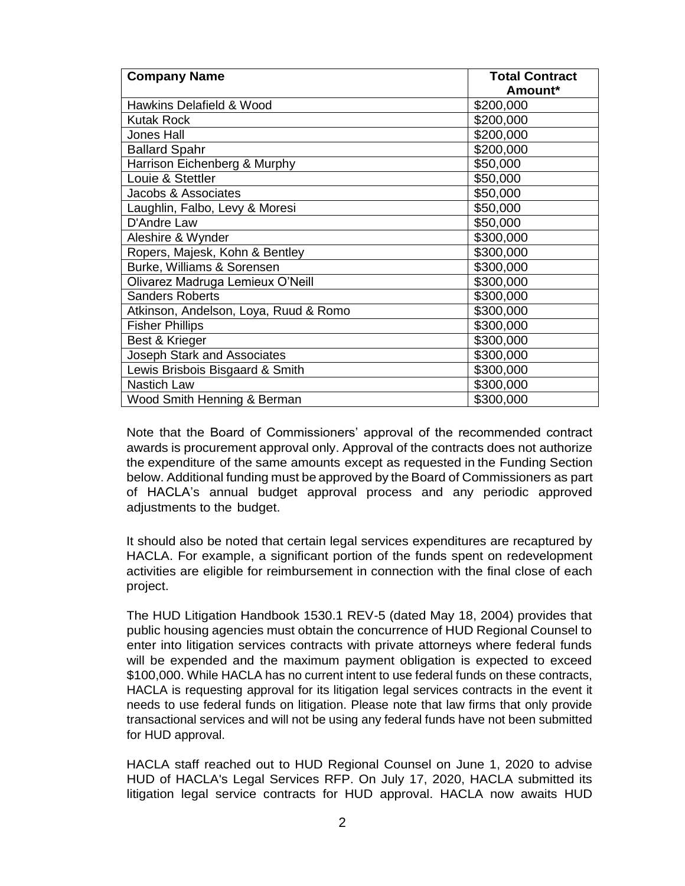| <b>Company Name</b>                   | <b>Total Contract</b> |
|---------------------------------------|-----------------------|
|                                       | Amount*               |
| Hawkins Delafield & Wood              | \$200,000             |
| <b>Kutak Rock</b>                     | \$200,000             |
| <b>Jones Hall</b>                     | \$200,000             |
| <b>Ballard Spahr</b>                  | \$200,000             |
| Harrison Eichenberg & Murphy          | \$50,000              |
| Louie & Stettler                      | \$50,000              |
| Jacobs & Associates                   | \$50,000              |
| Laughlin, Falbo, Levy & Moresi        | \$50,000              |
| D'Andre Law                           | \$50,000              |
| Aleshire & Wynder                     | \$300,000             |
| Ropers, Majesk, Kohn & Bentley        | \$300,000             |
| Burke, Williams & Sorensen            | \$300,000             |
| Olivarez Madruga Lemieux O'Neill      | \$300,000             |
| <b>Sanders Roberts</b>                | \$300,000             |
| Atkinson, Andelson, Loya, Ruud & Romo | \$300,000             |
| <b>Fisher Phillips</b>                | \$300,000             |
| Best & Krieger                        | \$300,000             |
| Joseph Stark and Associates           | \$300,000             |
| Lewis Brisbois Bisgaard & Smith       | \$300,000             |
| <b>Nastich Law</b>                    | \$300,000             |
| Wood Smith Henning & Berman           | \$300,000             |

Note that the Board of Commissioners' approval of the recommended contract awards is procurement approval only. Approval of the contracts does not authorize the expenditure of the same amounts except as requested in the Funding Section below. Additional funding must be approved by the Board of Commissioners as part of HACLA's annual budget approval process and any periodic approved adjustments to the budget.

It should also be noted that certain legal services expenditures are recaptured by HACLA. For example, a significant portion of the funds spent on redevelopment activities are eligible for reimbursement in connection with the final close of each project.

The HUD Litigation Handbook 1530.1 REV-5 (dated May 18, 2004) provides that public housing agencies must obtain the concurrence of HUD Regional Counsel to enter into litigation services contracts with private attorneys where federal funds will be expended and the maximum payment obligation is expected to exceed \$100,000. While HACLA has no current intent to use federal funds on these contracts, HACLA is requesting approval for its litigation legal services contracts in the event it needs to use federal funds on litigation. Please note that law firms that only provide transactional services and will not be using any federal funds have not been submitted for HUD approval.

HACLA staff reached out to HUD Regional Counsel on June 1, 2020 to advise HUD of HACLA's Legal Services RFP. On July 17, 2020, HACLA submitted its litigation legal service contracts for HUD approval. HACLA now awaits HUD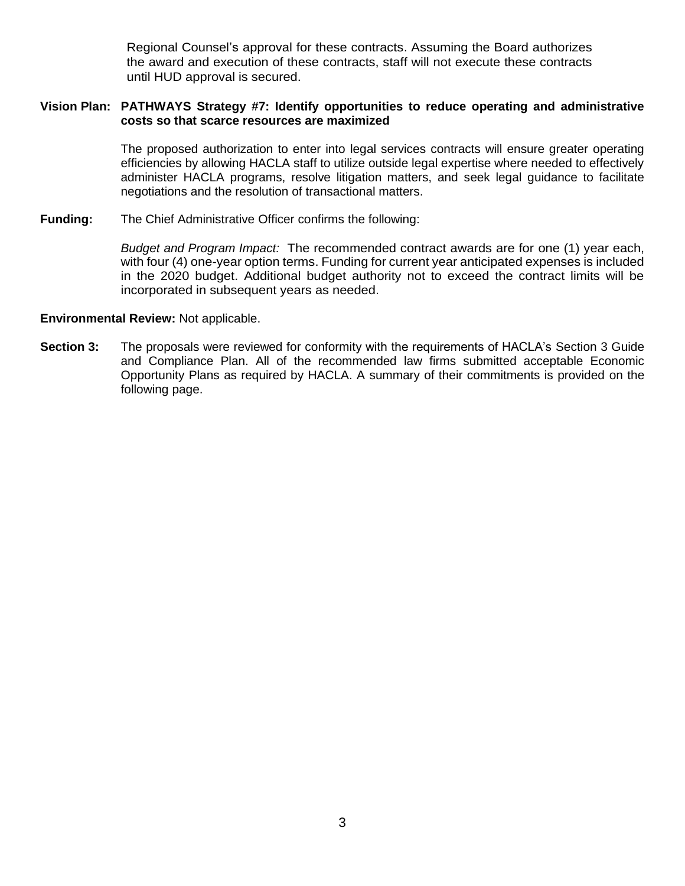Regional Counsel's approval for these contracts. Assuming the Board authorizes the award and execution of these contracts, staff will not execute these contracts until HUD approval is secured.

### **Vision Plan: PATHWAYS Strategy #7: Identify opportunities to reduce operating and administrative costs so that scarce resources are maximized**

The proposed authorization to enter into legal services contracts will ensure greater operating efficiencies by allowing HACLA staff to utilize outside legal expertise where needed to effectively administer HACLA programs, resolve litigation matters, and seek legal guidance to facilitate negotiations and the resolution of transactional matters.

**Funding:** The Chief Administrative Officer confirms the following:

*Budget and Program Impact:* The recommended contract awards are for one (1) year each, with four (4) one-year option terms. Funding for current year anticipated expenses is included in the 2020 budget. Additional budget authority not to exceed the contract limits will be incorporated in subsequent years as needed.

#### **Environmental Review:** Not applicable.

**Section 3:** The proposals were reviewed for conformity with the requirements of HACLA's Section 3 Guide and Compliance Plan. All of the recommended law firms submitted acceptable Economic Opportunity Plans as required by HACLA. A summary of their commitments is provided on the following page.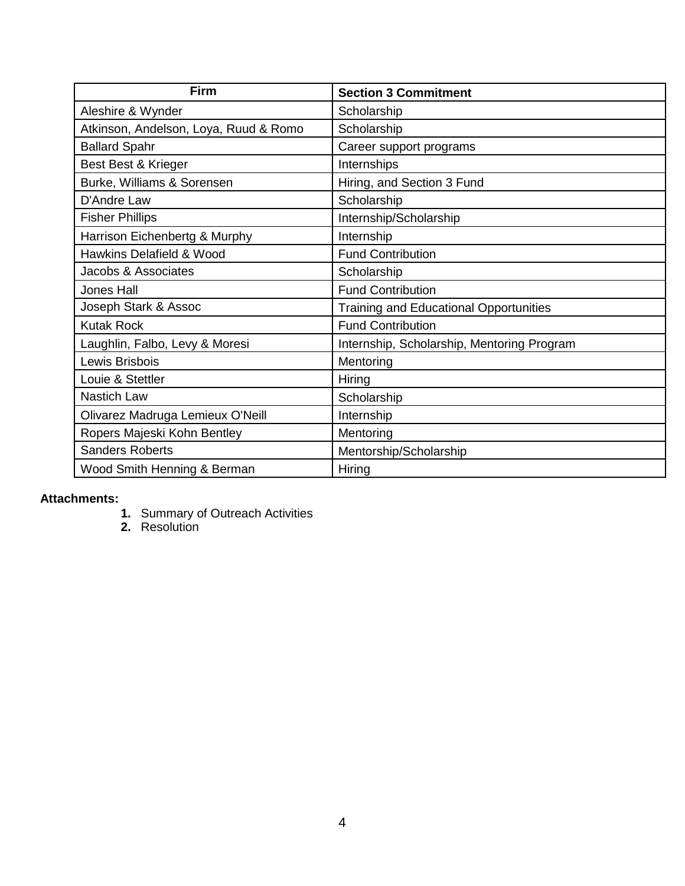| <b>Firm</b>                           | <b>Section 3 Commitment</b>                   |
|---------------------------------------|-----------------------------------------------|
| Aleshire & Wynder                     | Scholarship                                   |
| Atkinson, Andelson, Loya, Ruud & Romo | Scholarship                                   |
| <b>Ballard Spahr</b>                  | Career support programs                       |
| Best Best & Krieger                   | Internships                                   |
| Burke, Williams & Sorensen            | Hiring, and Section 3 Fund                    |
| D'Andre Law                           | Scholarship                                   |
| <b>Fisher Phillips</b>                | Internship/Scholarship                        |
| Harrison Eichenbertg & Murphy         | Internship                                    |
| Hawkins Delafield & Wood              | <b>Fund Contribution</b>                      |
| Jacobs & Associates                   | Scholarship                                   |
| <b>Jones Hall</b>                     | <b>Fund Contribution</b>                      |
| Joseph Stark & Assoc                  | <b>Training and Educational Opportunities</b> |
| <b>Kutak Rock</b>                     | <b>Fund Contribution</b>                      |
| Laughlin, Falbo, Levy & Moresi        | Internship, Scholarship, Mentoring Program    |
| Lewis Brisbois                        | Mentoring                                     |
| Louie & Stettler                      | Hiring                                        |
| <b>Nastich Law</b>                    | Scholarship                                   |
| Olivarez Madruga Lemieux O'Neill      | Internship                                    |
| Ropers Majeski Kohn Bentley           | Mentoring                                     |
| <b>Sanders Roberts</b>                | Mentorship/Scholarship                        |
| Wood Smith Henning & Berman           | Hiring                                        |

# **Attachments:**

- **1.** Summary of Outreach Activities
- **2.** Resolution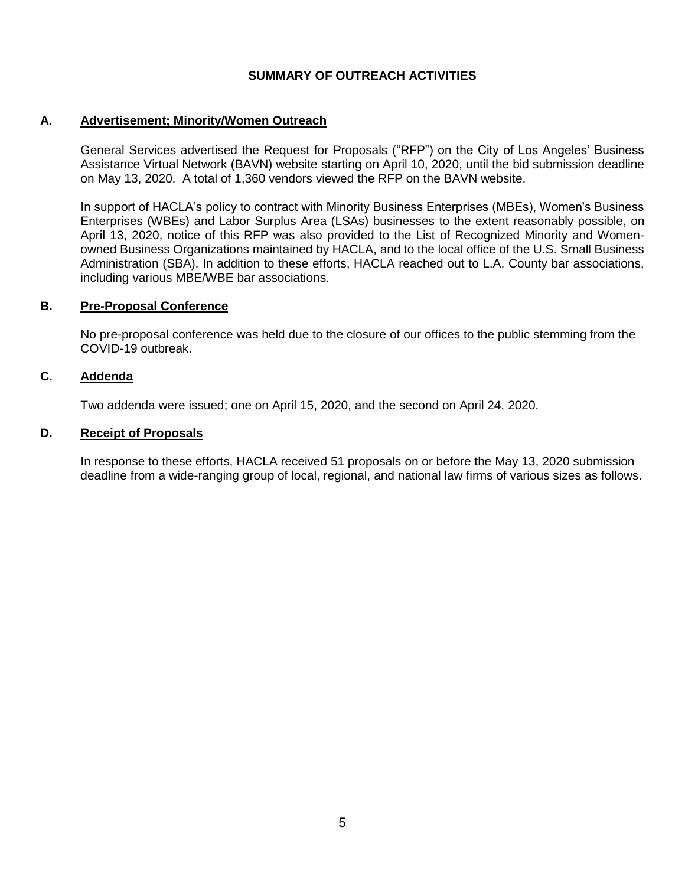## **SUMMARY OF OUTREACH ACTIVITIES**

### **A. Advertisement; Minority/Women Outreach**

General Services advertised the Request for Proposals ("RFP") on the City of Los Angeles' Business Assistance Virtual Network (BAVN) website starting on April 10, 2020, until the bid submission deadline on May 13, 2020. A total of 1,360 vendors viewed the RFP on the BAVN website.

In support of HACLA's policy to contract with Minority Business Enterprises (MBEs), Women's Business Enterprises (WBEs) and Labor Surplus Area (LSAs) businesses to the extent reasonably possible, on April 13, 2020, notice of this RFP was also provided to the List of Recognized Minority and Womenowned Business Organizations maintained by HACLA, and to the local office of the U.S. Small Business Administration (SBA). In addition to these efforts, HACLA reached out to L.A. County bar associations, including various MBE/WBE bar associations.

#### **B. Pre-Proposal Conference**

No pre-proposal conference was held due to the closure of our offices to the public stemming from the COVID-19 outbreak.

## **C. Addenda**

Two addenda were issued; one on April 15, 2020, and the second on April 24, 2020.

### **D. Receipt of Proposals**

In response to these efforts, HACLA received 51 proposals on or before the May 13, 2020 submission deadline from a wide-ranging group of local, regional, and national law firms of various sizes as follows.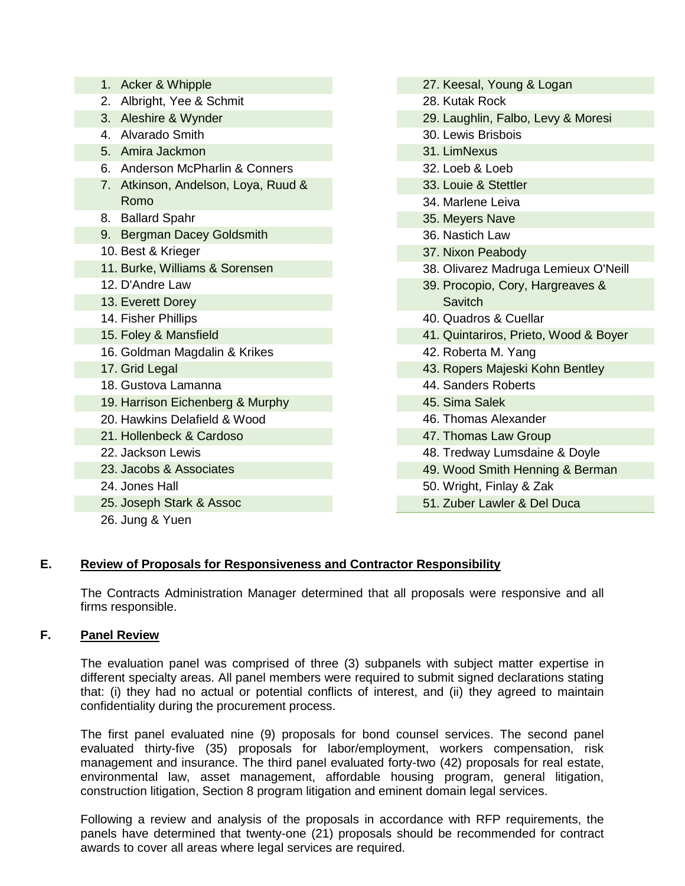| 1. Acker & Whipple                  |
|-------------------------------------|
| 2. Albright, Yee & Schmit           |
| 3. Aleshire & Wynder                |
| 4. Alvarado Smith                   |
| 5. Amira Jackmon                    |
| 6. Anderson McPharlin & Conners     |
| 7. Atkinson, Andelson, Loya, Ruud & |
| Romo                                |
| 8. Ballard Spahr                    |
| 9. Bergman Dacey Goldsmith          |
| 10. Best & Krieger                  |
| 11. Burke, Williams & Sorensen      |
| 12. D'Andre Law                     |
| 13. Everett Dorey                   |
| 14. Fisher Phillips                 |
| 15. Foley & Mansfield               |
| 16. Goldman Magdalin & Krikes       |
| 17. Grid Legal                      |
| 18. Gustova Lamanna                 |
| 19. Harrison Eichenberg & Murphy    |
| 20. Hawkins Delafield & Wood        |
| 21. Hollenbeck & Cardoso            |
| 22. Jackson Lewis                   |
| 23. Jacobs & Associates             |
| 24. Jones Hall                      |
| 25. Joseph Stark & Assoc            |
| 26. Jung & Yuen                     |

# **E. Review of Proposals for Responsiveness and Contractor Responsibility**

The Contracts Administration Manager determined that all proposals were responsive and all firms responsible.

# **F. Panel Review**

The evaluation panel was comprised of three (3) subpanels with subject matter expertise in different specialty areas. All panel members were required to submit signed declarations stating that: (i) they had no actual or potential conflicts of interest, and (ii) they agreed to maintain confidentiality during the procurement process.

The first panel evaluated nine (9) proposals for bond counsel services. The second panel evaluated thirty-five (35) proposals for labor/employment, workers compensation, risk management and insurance. The third panel evaluated forty-two (42) proposals for real estate, environmental law, asset management, affordable housing program, general litigation, construction litigation, Section 8 program litigation and eminent domain legal services.

Following a review and analysis of the proposals in accordance with RFP requirements, the panels have determined that twenty-one (21) proposals should be recommended for contract awards to cover all areas where legal services are required.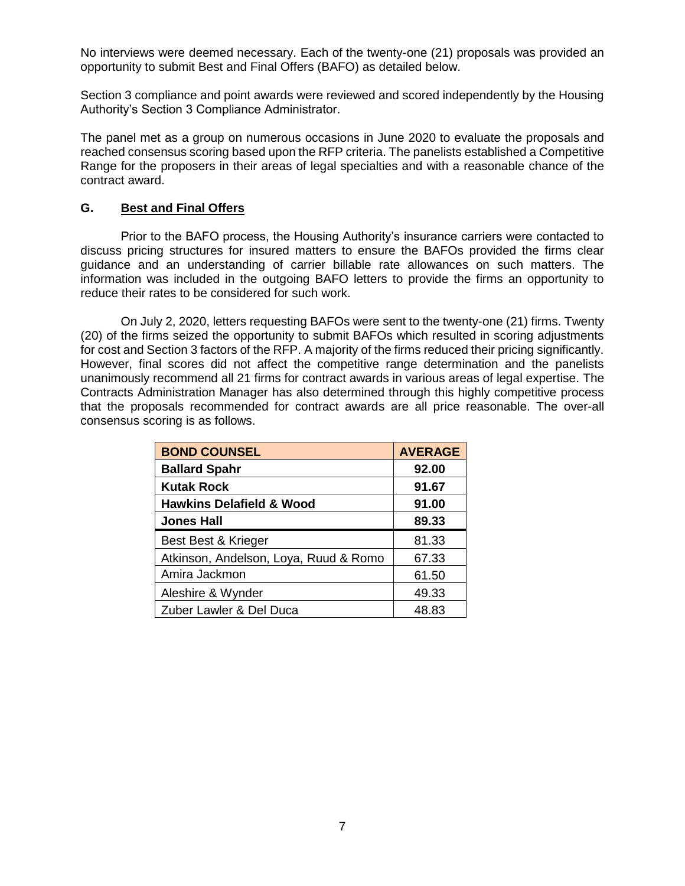No interviews were deemed necessary. Each of the twenty-one (21) proposals was provided an opportunity to submit Best and Final Offers (BAFO) as detailed below.

Section 3 compliance and point awards were reviewed and scored independently by the Housing Authority's Section 3 Compliance Administrator.

The panel met as a group on numerous occasions in June 2020 to evaluate the proposals and reached consensus scoring based upon the RFP criteria. The panelists established a Competitive Range for the proposers in their areas of legal specialties and with a reasonable chance of the contract award.

## **G. Best and Final Offers**

Prior to the BAFO process, the Housing Authority's insurance carriers were contacted to discuss pricing structures for insured matters to ensure the BAFOs provided the firms clear guidance and an understanding of carrier billable rate allowances on such matters. The information was included in the outgoing BAFO letters to provide the firms an opportunity to reduce their rates to be considered for such work.

On July 2, 2020, letters requesting BAFOs were sent to the twenty-one (21) firms. Twenty (20) of the firms seized the opportunity to submit BAFOs which resulted in scoring adjustments for cost and Section 3 factors of the RFP. A majority of the firms reduced their pricing significantly. However, final scores did not affect the competitive range determination and the panelists unanimously recommend all 21 firms for contract awards in various areas of legal expertise. The Contracts Administration Manager has also determined through this highly competitive process that the proposals recommended for contract awards are all price reasonable. The over-all consensus scoring is as follows.

| <b>BOND COUNSEL</b>                   | <b>AVERAGE</b> |
|---------------------------------------|----------------|
| <b>Ballard Spahr</b>                  | 92.00          |
| <b>Kutak Rock</b>                     | 91.67          |
| <b>Hawkins Delafield &amp; Wood</b>   | 91.00          |
| <b>Jones Hall</b>                     | 89.33          |
| Best Best & Krieger                   | 81.33          |
| Atkinson, Andelson, Loya, Ruud & Romo | 67.33          |
| Amira Jackmon                         | 61.50          |
| Aleshire & Wynder                     | 49.33          |
| Zuber Lawler & Del Duca               | 48.83          |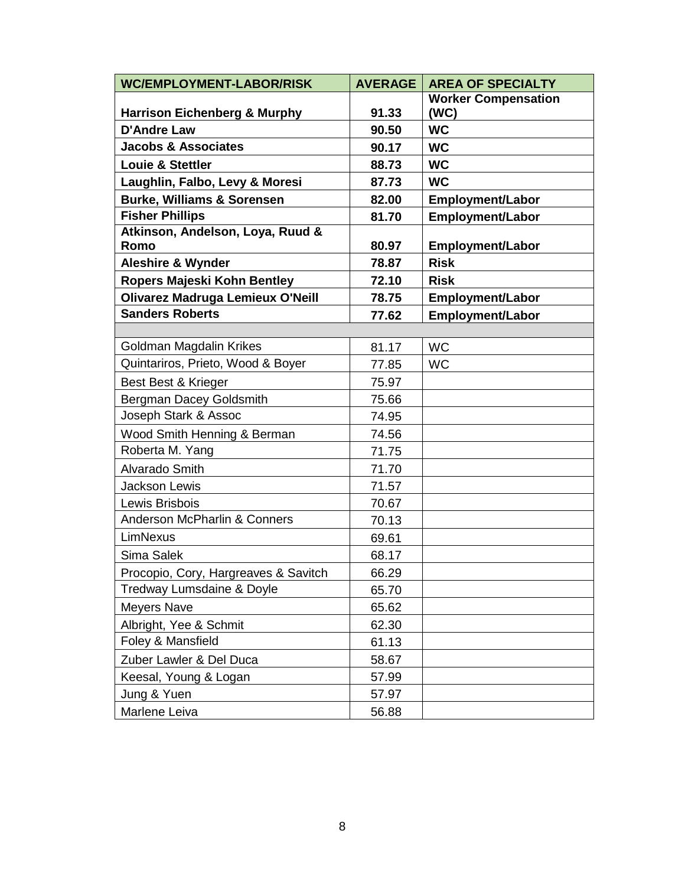| <b>WC/EMPLOYMENT-LABOR/RISK</b>         | <b>AVERAGE</b> | <b>AREA OF SPECIALTY</b>   |
|-----------------------------------------|----------------|----------------------------|
|                                         |                | <b>Worker Compensation</b> |
| <b>Harrison Eichenberg &amp; Murphy</b> | 91.33          | (WC)                       |
| <b>D'Andre Law</b>                      | 90.50          | <b>WC</b>                  |
| <b>Jacobs &amp; Associates</b>          | 90.17          | <b>WC</b>                  |
| <b>Louie &amp; Stettler</b>             | 88.73          | <b>WC</b>                  |
| Laughlin, Falbo, Levy & Moresi          | 87.73          | <b>WC</b>                  |
| <b>Burke, Williams &amp; Sorensen</b>   | 82.00          | <b>Employment/Labor</b>    |
| <b>Fisher Phillips</b>                  | 81.70          | <b>Employment/Labor</b>    |
| Atkinson, Andelson, Loya, Ruud &        |                |                            |
| Romo                                    | 80.97          | <b>Employment/Labor</b>    |
| <b>Aleshire &amp; Wynder</b>            | 78.87          | <b>Risk</b>                |
| <b>Ropers Majeski Kohn Bentley</b>      | 72.10          | <b>Risk</b>                |
| <b>Olivarez Madruga Lemieux O'Neill</b> | 78.75          | <b>Employment/Labor</b>    |
| <b>Sanders Roberts</b>                  | 77.62          | <b>Employment/Labor</b>    |
|                                         |                |                            |
| Goldman Magdalin Krikes                 | 81.17          | <b>WC</b>                  |
| Quintariros, Prieto, Wood & Boyer       | 77.85          | <b>WC</b>                  |
| Best Best & Krieger                     | 75.97          |                            |
| Bergman Dacey Goldsmith                 | 75.66          |                            |
| Joseph Stark & Assoc                    | 74.95          |                            |
| Wood Smith Henning & Berman             | 74.56          |                            |
| Roberta M. Yang                         | 71.75          |                            |
| Alvarado Smith                          | 71.70          |                            |
| <b>Jackson Lewis</b>                    | 71.57          |                            |
| Lewis Brisbois                          | 70.67          |                            |
| <b>Anderson McPharlin &amp; Conners</b> | 70.13          |                            |
| LimNexus                                | 69.61          |                            |
| Sima Salek                              | 68.17          |                            |
| Procopio, Cory, Hargreaves & Savitch    | 66.29          |                            |
| Tredway Lumsdaine & Doyle               | 65.70          |                            |
| <b>Meyers Nave</b>                      | 65.62          |                            |
| Albright, Yee & Schmit                  | 62.30          |                            |
| Foley & Mansfield                       | 61.13          |                            |
| Zuber Lawler & Del Duca                 | 58.67          |                            |
| Keesal, Young & Logan                   | 57.99          |                            |
| Jung & Yuen                             | 57.97          |                            |
| Marlene Leiva                           | 56.88          |                            |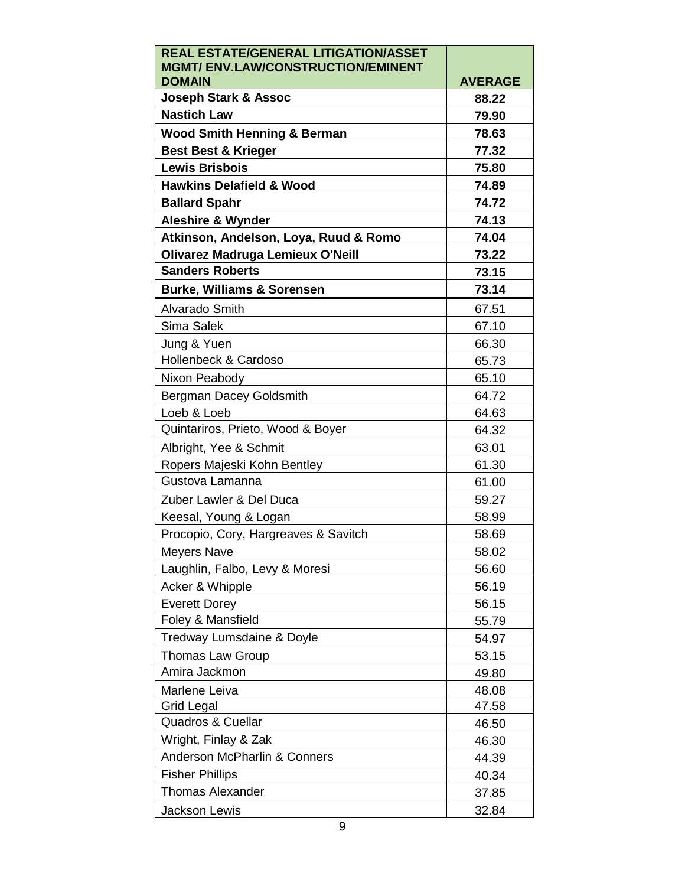| REAL ESTATE/GENERAL LITIGATION/ASSET                       |                         |
|------------------------------------------------------------|-------------------------|
| <b>MGMT/ ENV.LAW/CONSTRUCTION/EMINENT</b><br><b>DOMAIN</b> |                         |
| <b>Joseph Stark &amp; Assoc</b>                            | <b>AVERAGE</b><br>88.22 |
| <b>Nastich Law</b>                                         |                         |
|                                                            | 79.90                   |
| <b>Wood Smith Henning &amp; Berman</b>                     | 78.63                   |
| <b>Best Best &amp; Krieger</b>                             | 77.32                   |
| <b>Lewis Brisbois</b>                                      | 75.80                   |
| <b>Hawkins Delafield &amp; Wood</b>                        | 74.89                   |
| <b>Ballard Spahr</b>                                       | 74.72                   |
| <b>Aleshire &amp; Wynder</b>                               | 74.13                   |
| Atkinson, Andelson, Loya, Ruud & Romo                      | 74.04                   |
| <b>Olivarez Madruga Lemieux O'Neill</b>                    | 73.22                   |
| <b>Sanders Roberts</b>                                     | 73.15                   |
| <b>Burke, Williams &amp; Sorensen</b>                      | 73.14                   |
| Alvarado Smith                                             | 67.51                   |
| Sima Salek                                                 | 67.10                   |
| Jung & Yuen                                                | 66.30                   |
| Hollenbeck & Cardoso                                       | 65.73                   |
| Nixon Peabody                                              | 65.10                   |
| Bergman Dacey Goldsmith                                    | 64.72                   |
| Loeb & Loeb                                                | 64.63                   |
| Quintariros, Prieto, Wood & Boyer                          | 64.32                   |
| Albright, Yee & Schmit                                     | 63.01                   |
| Ropers Majeski Kohn Bentley                                | 61.30                   |
| Gustova Lamanna                                            | 61.00                   |
| Zuber Lawler & Del Duca                                    | 59.27                   |
| Keesal, Young & Logan                                      | 58.99                   |
| Procopio, Cory, Hargreaves & Savitch                       | 58.69                   |
| Meyers Nave                                                | 58.02                   |
| Laughlin, Falbo, Levy & Moresi                             | 56.60                   |
| Acker & Whipple                                            | 56.19                   |
| <b>Everett Dorey</b>                                       | 56.15                   |
| Foley & Mansfield                                          | 55.79                   |
| Tredway Lumsdaine & Doyle                                  | 54.97                   |
| <b>Thomas Law Group</b>                                    | 53.15                   |
| Amira Jackmon                                              | 49.80                   |
| Marlene Leiva                                              | 48.08                   |
| Grid Legal                                                 | 47.58                   |
| Quadros & Cuellar                                          | 46.50                   |
| Wright, Finlay & Zak                                       | 46.30                   |
| <b>Anderson McPharlin &amp; Conners</b>                    | 44.39                   |
| <b>Fisher Phillips</b>                                     | 40.34                   |
| <b>Thomas Alexander</b>                                    | 37.85                   |
| Jackson Lewis                                              | 32.84                   |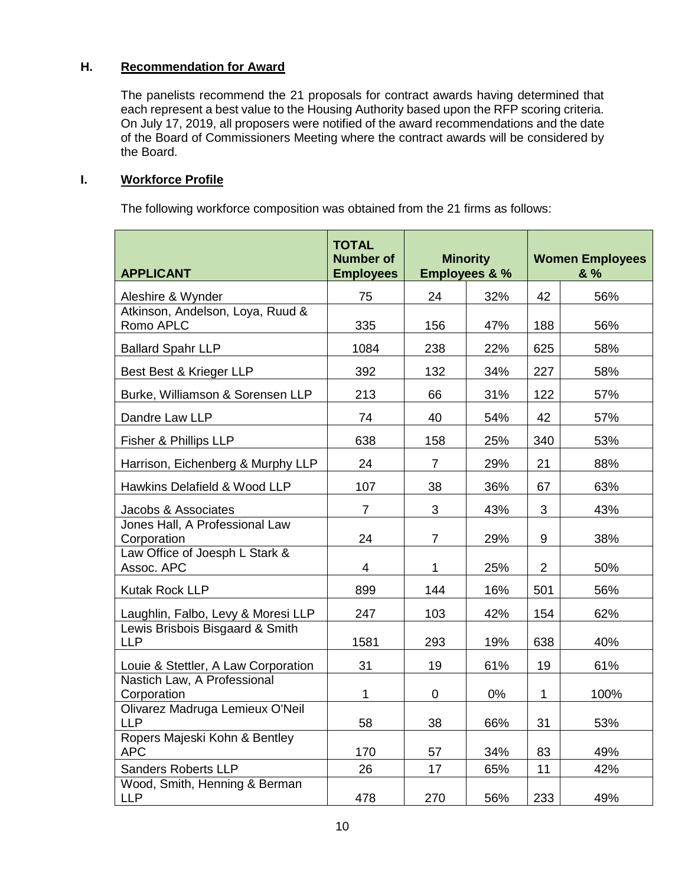## **H. Recommendation for Award**

The panelists recommend the 21 proposals for contract awards having determined that each represent a best value to the Housing Authority based upon the RFP scoring criteria. On July 17, 2019, all proposers were notified of the award recommendations and the date of the Board of Commissioners Meeting where the contract awards will be considered by the Board.

## **I. Workforce Profile**

The following workforce composition was obtained from the 21 firms as follows:

| <b>APPLICANT</b>                              | <b>TOTAL</b><br><b>Number of</b><br><b>Employees</b> | <b>Minority</b><br><b>Employees &amp; %</b> |     | <b>Women Employees</b><br>& % |      |
|-----------------------------------------------|------------------------------------------------------|---------------------------------------------|-----|-------------------------------|------|
| Aleshire & Wynder                             | 75                                                   | 24                                          | 32% | 42                            | 56%  |
| Atkinson, Andelson, Loya, Ruud &<br>Romo APLC | 335                                                  | 156                                         | 47% | 188                           | 56%  |
| <b>Ballard Spahr LLP</b>                      | 1084                                                 | 238                                         | 22% | 625                           | 58%  |
| Best Best & Krieger LLP                       | 392                                                  | 132                                         | 34% | 227                           | 58%  |
| Burke, Williamson & Sorensen LLP              | 213                                                  | 66                                          | 31% | 122                           | 57%  |
| Dandre Law LLP                                | 74                                                   | 40                                          | 54% | 42                            | 57%  |
| Fisher & Phillips LLP                         | 638                                                  | 158                                         | 25% | 340                           | 53%  |
| Harrison, Eichenberg & Murphy LLP             | 24                                                   | $\overline{7}$                              | 29% | 21                            | 88%  |
| Hawkins Delafield & Wood LLP                  | 107                                                  | 38                                          | 36% | 67                            | 63%  |
| Jacobs & Associates                           | $\overline{7}$                                       | 3                                           | 43% | 3                             | 43%  |
| Jones Hall, A Professional Law<br>Corporation | 24                                                   | $\overline{7}$                              | 29% | 9                             | 38%  |
| Law Office of Joesph L Stark &<br>Assoc. APC  | $\overline{\mathbf{4}}$                              | 1                                           | 25% | 2                             | 50%  |
| Kutak Rock LLP                                | 899                                                  | 144                                         | 16% | 501                           | 56%  |
| Laughlin, Falbo, Levy & Moresi LLP            | 247                                                  | 103                                         | 42% | 154                           | 62%  |
| Lewis Brisbois Bisgaard & Smith<br><b>LLP</b> | 1581                                                 | 293                                         | 19% | 638                           | 40%  |
| Louie & Stettler, A Law Corporation           | 31                                                   | 19                                          | 61% | 19                            | 61%  |
| Nastich Law, A Professional<br>Corporation    | 1                                                    | $\mathbf 0$                                 | 0%  | $\mathbf 1$                   | 100% |
| Olivarez Madruga Lemieux O'Neil<br><b>LLP</b> | 58                                                   | 38                                          | 66% | 31                            | 53%  |
| Ropers Majeski Kohn & Bentley<br><b>APC</b>   | 170                                                  | 57                                          | 34% | 83                            | 49%  |
| <b>Sanders Roberts LLP</b>                    | 26                                                   | 17                                          | 65% | 11                            | 42%  |
| Wood, Smith, Henning & Berman<br><b>LLP</b>   | 478                                                  | 270                                         | 56% | 233                           | 49%  |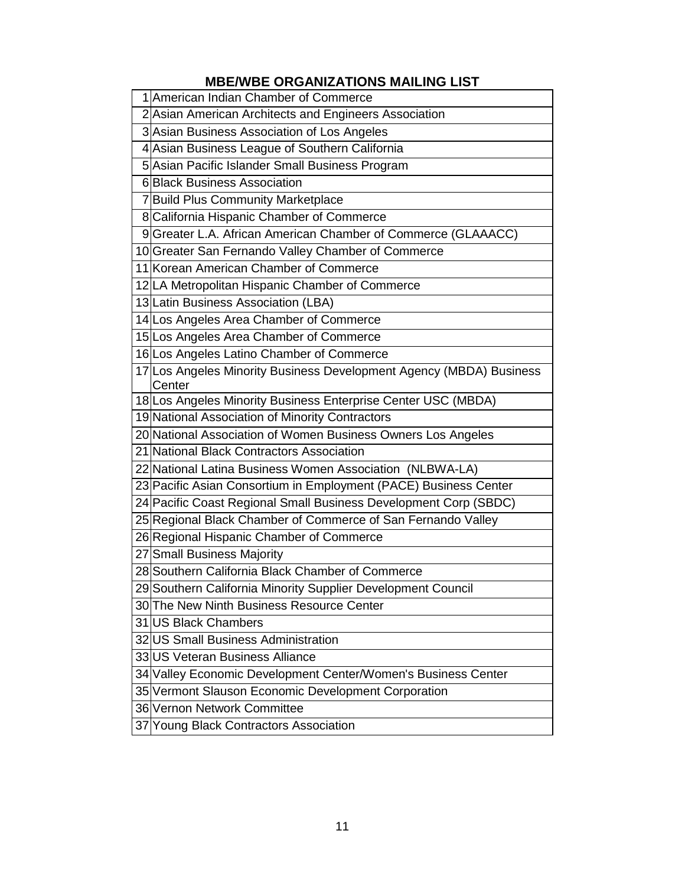# **MBE/WBE ORGANIZATIONS MAILING LIST**

| 1 American Indian Chamber of Commerce                                         |
|-------------------------------------------------------------------------------|
| 2 Asian American Architects and Engineers Association                         |
| 3 Asian Business Association of Los Angeles                                   |
| 4 Asian Business League of Southern California                                |
| 5 Asian Pacific Islander Small Business Program                               |
| 6 Black Business Association                                                  |
| 7 Build Plus Community Marketplace                                            |
| 8 California Hispanic Chamber of Commerce                                     |
| 9 Greater L.A. African American Chamber of Commerce (GLAAACC)                 |
| 10 Greater San Fernando Valley Chamber of Commerce                            |
| 11 Korean American Chamber of Commerce                                        |
| 12 LA Metropolitan Hispanic Chamber of Commerce                               |
| 13 Latin Business Association (LBA)                                           |
| 14 Los Angeles Area Chamber of Commerce                                       |
| 15 Los Angeles Area Chamber of Commerce                                       |
| 16 Los Angeles Latino Chamber of Commerce                                     |
| 17 Los Angeles Minority Business Development Agency (MBDA) Business<br>Center |
| 18 Los Angeles Minority Business Enterprise Center USC (MBDA)                 |
| 19 National Association of Minority Contractors                               |
| 20 National Association of Women Business Owners Los Angeles                  |
| 21 National Black Contractors Association                                     |
| 22 National Latina Business Women Association (NLBWA-LA)                      |
| 23 Pacific Asian Consortium in Employment (PACE) Business Center              |
| 24 Pacific Coast Regional Small Business Development Corp (SBDC)              |
| 25 Regional Black Chamber of Commerce of San Fernando Valley                  |
| 26 Regional Hispanic Chamber of Commerce                                      |
| 27 Small Business Majority                                                    |
| 28 Southern California Black Chamber of Commerce                              |
| 29 Southern California Minority Supplier Development Council                  |
| 30 The New Ninth Business Resource Center                                     |
| 31 US Black Chambers                                                          |
| 32 US Small Business Administration                                           |
| 33 US Veteran Business Alliance                                               |
| 34 Valley Economic Development Center/Women's Business Center                 |
| 35 Vermont Slauson Economic Development Corporation                           |
| 36 Vernon Network Committee                                                   |
| 37 Young Black Contractors Association                                        |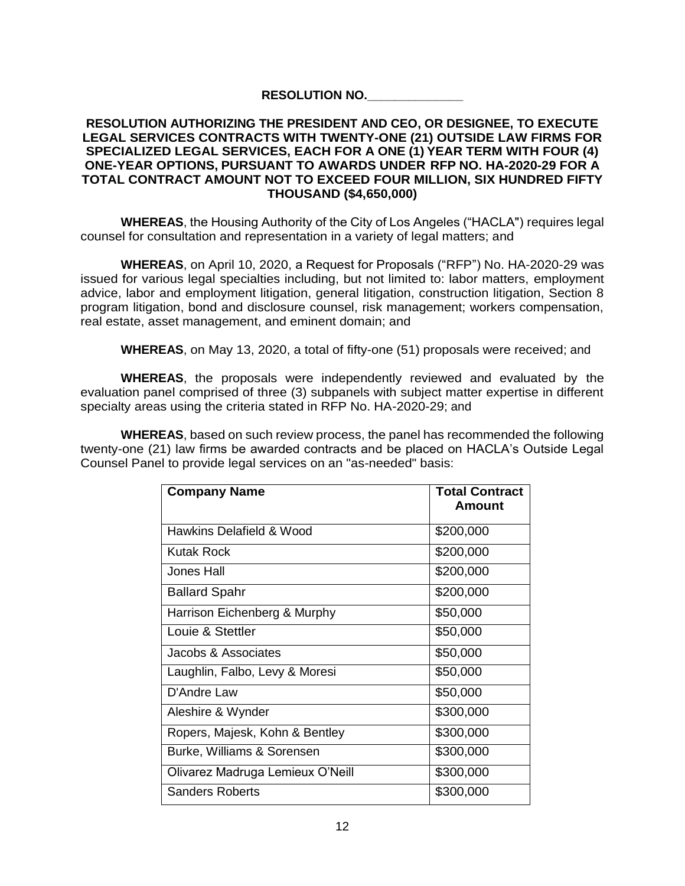## **RESOLUTION NO.\_\_\_\_\_\_\_\_\_\_\_\_\_\_**

### **RESOLUTION AUTHORIZING THE PRESIDENT AND CEO, OR DESIGNEE, TO EXECUTE LEGAL SERVICES CONTRACTS WITH TWENTY-ONE (21) OUTSIDE LAW FIRMS FOR SPECIALIZED LEGAL SERVICES, EACH FOR A ONE (1) YEAR TERM WITH FOUR (4) ONE-YEAR OPTIONS, PURSUANT TO AWARDS UNDER RFP NO. HA-2020-29 FOR A TOTAL CONTRACT AMOUNT NOT TO EXCEED FOUR MILLION, SIX HUNDRED FIFTY THOUSAND (\$4,650,000)**

**WHEREAS**, the Housing Authority of the City of Los Angeles ("HACLA") requires legal counsel for consultation and representation in a variety of legal matters; and

**WHEREAS**, on April 10, 2020, a Request for Proposals ("RFP") No. HA-2020-29 was issued for various legal specialties including, but not limited to: labor matters, employment advice, labor and employment litigation, general litigation, construction litigation, Section 8 program litigation, bond and disclosure counsel, risk management; workers compensation, real estate, asset management, and eminent domain; and

**WHEREAS**, on May 13, 2020, a total of fifty-one (51) proposals were received; and

**WHEREAS**, the proposals were independently reviewed and evaluated by the evaluation panel comprised of three (3) subpanels with subject matter expertise in different specialty areas using the criteria stated in RFP No. HA-2020-29; and

**WHEREAS**, based on such review process, the panel has recommended the following twenty-one (21) law firms be awarded contracts and be placed on HACLA's Outside Legal Counsel Panel to provide legal services on an "as-needed" basis:

| <b>Company Name</b>              | <b>Total Contract</b><br>Amount |
|----------------------------------|---------------------------------|
| Hawkins Delafield & Wood         | \$200,000                       |
| Kutak Rock                       | \$200,000                       |
| <b>Jones Hall</b>                | \$200,000                       |
| <b>Ballard Spahr</b>             | \$200,000                       |
| Harrison Eichenberg & Murphy     | \$50,000                        |
| Louie & Stettler                 | \$50,000                        |
| Jacobs & Associates              | \$50,000                        |
| Laughlin, Falbo, Levy & Moresi   | \$50,000                        |
| D'Andre Law                      | \$50,000                        |
| Aleshire & Wynder                | \$300,000                       |
| Ropers, Majesk, Kohn & Bentley   | \$300,000                       |
| Burke, Williams & Sorensen       | \$300,000                       |
| Olivarez Madruga Lemieux O'Neill | \$300,000                       |
| <b>Sanders Roberts</b>           | \$300,000                       |